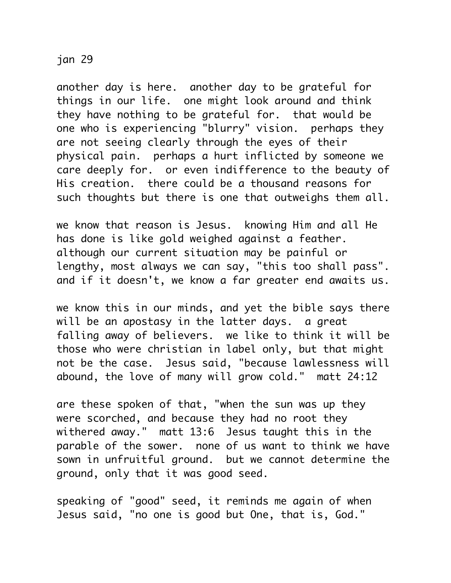## jan 29

another day is here. another day to be grateful for things in our life. one might look around and think they have nothing to be grateful for. that would be one who is experiencing "blurry" vision. perhaps they are not seeing clearly through the eyes of their physical pain. perhaps a hurt inflicted by someone we care deeply for. or even indifference to the beauty of His creation. there could be a thousand reasons for such thoughts but there is one that outweighs them all.

we know that reason is Jesus. knowing Him and all He has done is like gold weighed against a feather. although our current situation may be painful or lengthy, most always we can say, "this too shall pass". and if it doesn't, we know a far greater end awaits us.

we know this in our minds, and yet the bible says there will be an apostasy in the latter days. a great falling away of believers. we like to think it will be those who were christian in label only, but that might not be the case. Jesus said, "because lawlessness will abound, the love of many will grow cold." matt 24:12

are these spoken of that, "when the sun was up they were scorched, and because they had no root they withered away." matt 13:6 Jesus taught this in the parable of the sower. none of us want to think we have sown in unfruitful ground. but we cannot determine the ground, only that it was good seed.

speaking of "good" seed, it reminds me again of when Jesus said, "no one is good but One, that is, God."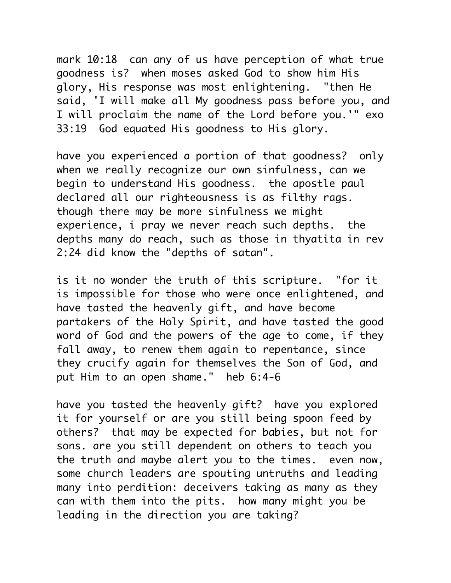mark 10:18 can any of us have perception of what true goodness is? when moses asked God to show him His glory, His response was most enlightening. "then He said, 'I will make all My goodness pass before you, and I will proclaim the name of the Lord before you.'" exo 33:19 God equated His goodness to His glory.

have you experienced a portion of that goodness? only when we really recognize our own sinfulness, can we begin to understand His goodness. the apostle paul declared all our righteousness is as filthy rags. though there may be more sinfulness we might experience, i pray we never reach such depths. the depths many do reach, such as those in thyatita in rev 2:24 did know the "depths of satan".

is it no wonder the truth of this scripture. "for it is impossible for those who were once enlightened, and have tasted the heavenly gift, and have become partakers of the Holy Spirit, and have tasted the good word of God and the powers of the age to come, if they fall away, to renew them again to repentance, since they crucify again for themselves the Son of God, and put Him to an open shame." heb 6:4-6

have you tasted the heavenly gift? have you explored it for yourself or are you still being spoon feed by others? that may be expected for babies, but not for sons. are you still dependent on others to teach you the truth and maybe alert you to the times. even now, some church leaders are spouting untruths and leading many into perdition: deceivers taking as many as they can with them into the pits. how many might you be leading in the direction you are taking?